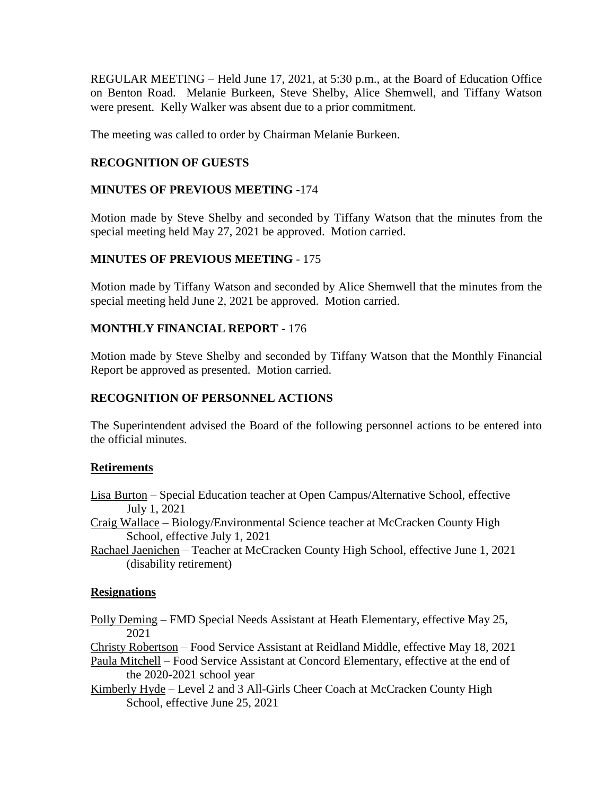REGULAR MEETING – Held June 17, 2021, at 5:30 p.m., at the Board of Education Office on Benton Road. Melanie Burkeen, Steve Shelby, Alice Shemwell, and Tiffany Watson were present. Kelly Walker was absent due to a prior commitment.

The meeting was called to order by Chairman Melanie Burkeen.

# **RECOGNITION OF GUESTS**

# **MINUTES OF PREVIOUS MEETING** -174

Motion made by Steve Shelby and seconded by Tiffany Watson that the minutes from the special meeting held May 27, 2021 be approved. Motion carried.

# **MINUTES OF PREVIOUS MEETING** - 175

Motion made by Tiffany Watson and seconded by Alice Shemwell that the minutes from the special meeting held June 2, 2021 be approved. Motion carried.

# **MONTHLY FINANCIAL REPORT** - 176

Motion made by Steve Shelby and seconded by Tiffany Watson that the Monthly Financial Report be approved as presented. Motion carried.

# **RECOGNITION OF PERSONNEL ACTIONS**

The Superintendent advised the Board of the following personnel actions to be entered into the official minutes.

# **Retirements**

- Lisa Burton Special Education teacher at Open Campus/Alternative School, effective July 1, 2021
- Craig Wallace Biology/Environmental Science teacher at McCracken County High School, effective July 1, 2021
- Rachael Jaenichen Teacher at McCracken County High School, effective June 1, 2021 (disability retirement)

# **Resignations**

Polly Deming – FMD Special Needs Assistant at Heath Elementary, effective May 25, 2021

Christy Robertson – Food Service Assistant at Reidland Middle, effective May 18, 2021 Paula Mitchell – Food Service Assistant at Concord Elementary, effective at the end of the 2020-2021 school year

Kimberly Hyde – Level 2 and 3 All-Girls Cheer Coach at McCracken County High School, effective June 25, 2021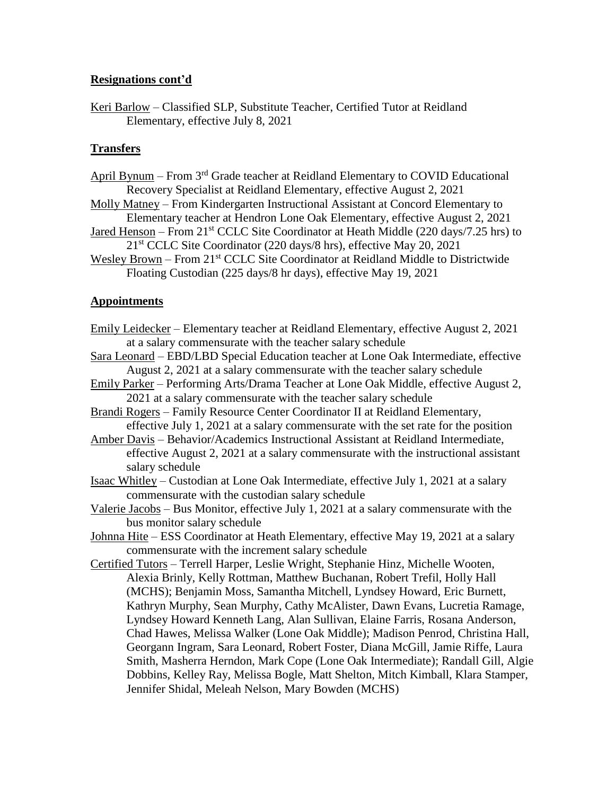### **Resignations cont'd**

Keri Barlow – Classified SLP, Substitute Teacher, Certified Tutor at Reidland Elementary, effective July 8, 2021

# **Transfers**

- April Bynum From  $3<sup>rd</sup>$  Grade teacher at Reidland Elementary to COVID Educational Recovery Specialist at Reidland Elementary, effective August 2, 2021
- Molly Matney From Kindergarten Instructional Assistant at Concord Elementary to Elementary teacher at Hendron Lone Oak Elementary, effective August 2, 2021
- <u>Jared Henson</u> From  $21^{st}$  CCLC Site Coordinator at Heath Middle (220 days/7.25 hrs) to 21<sup>st</sup> CCLC Site Coordinator (220 days/8 hrs), effective May 20, 2021
- Wesley Brown From 21<sup>st</sup> CCLC Site Coordinator at Reidland Middle to Districtwide Floating Custodian (225 days/8 hr days), effective May 19, 2021

# **Appointments**

- Emily Leidecker Elementary teacher at Reidland Elementary, effective August 2, 2021 at a salary commensurate with the teacher salary schedule
- Sara Leonard EBD/LBD Special Education teacher at Lone Oak Intermediate, effective August 2, 2021 at a salary commensurate with the teacher salary schedule
- Emily Parker Performing Arts/Drama Teacher at Lone Oak Middle, effective August 2, 2021 at a salary commensurate with the teacher salary schedule
- Brandi Rogers Family Resource Center Coordinator II at Reidland Elementary, effective July 1, 2021 at a salary commensurate with the set rate for the position
- Amber Davis Behavior/Academics Instructional Assistant at Reidland Intermediate, effective August 2, 2021 at a salary commensurate with the instructional assistant salary schedule
- Isaac Whitley Custodian at Lone Oak Intermediate, effective July 1, 2021 at a salary commensurate with the custodian salary schedule
- Valerie Jacobs Bus Monitor, effective July 1, 2021 at a salary commensurate with the bus monitor salary schedule
- Johnna Hite ESS Coordinator at Heath Elementary, effective May 19, 2021 at a salary commensurate with the increment salary schedule
- Certified Tutors Terrell Harper, Leslie Wright, Stephanie Hinz, Michelle Wooten, Alexia Brinly, Kelly Rottman, Matthew Buchanan, Robert Trefil, Holly Hall (MCHS); Benjamin Moss, Samantha Mitchell, Lyndsey Howard, Eric Burnett, Kathryn Murphy, Sean Murphy, Cathy McAlister, Dawn Evans, Lucretia Ramage, Lyndsey Howard Kenneth Lang, Alan Sullivan, Elaine Farris, Rosana Anderson, Chad Hawes, Melissa Walker (Lone Oak Middle); Madison Penrod, Christina Hall, Georgann Ingram, Sara Leonard, Robert Foster, Diana McGill, Jamie Riffe, Laura Smith, Masherra Herndon, Mark Cope (Lone Oak Intermediate); Randall Gill, Algie Dobbins, Kelley Ray, Melissa Bogle, Matt Shelton, Mitch Kimball, Klara Stamper, Jennifer Shidal, Meleah Nelson, Mary Bowden (MCHS)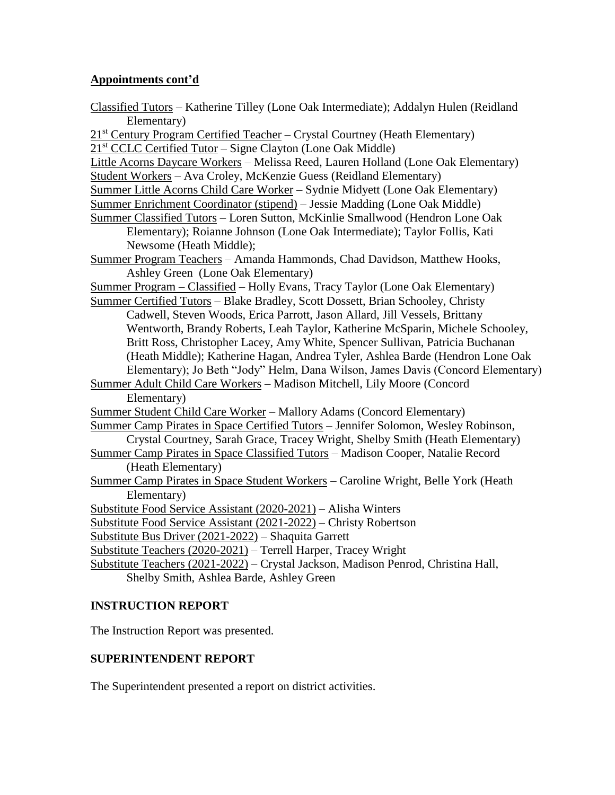# **Appointments cont'd**

| Classified Tutors - Katherine Tilley (Lone Oak Intermediate); Addalyn Hulen (Reidland<br>Elementary) |  |  |  |  |
|------------------------------------------------------------------------------------------------------|--|--|--|--|
| 21st Century Program Certified Teacher - Crystal Courtney (Heath Elementary)                         |  |  |  |  |
| $21st$ CCLC Certified Tutor – Signe Clayton (Lone Oak Middle)                                        |  |  |  |  |
| Little Acorns Daycare Workers - Melissa Reed, Lauren Holland (Lone Oak Elementary)                   |  |  |  |  |
| Student Workers - Ava Croley, McKenzie Guess (Reidland Elementary)                                   |  |  |  |  |
| Summer Little Acorns Child Care Worker - Sydnie Midyett (Lone Oak Elementary)                        |  |  |  |  |
| Summer Enrichment Coordinator (stipend) - Jessie Madding (Lone Oak Middle)                           |  |  |  |  |
| Summer Classified Tutors - Loren Sutton, McKinlie Smallwood (Hendron Lone Oak                        |  |  |  |  |
| Elementary); Roianne Johnson (Lone Oak Intermediate); Taylor Follis, Kati                            |  |  |  |  |
| Newsome (Heath Middle);                                                                              |  |  |  |  |
| Summer Program Teachers - Amanda Hammonds, Chad Davidson, Matthew Hooks,                             |  |  |  |  |
| Ashley Green (Lone Oak Elementary)                                                                   |  |  |  |  |
| Summer Program – Classified – Holly Evans, Tracy Taylor (Lone Oak Elementary)                        |  |  |  |  |
| Summer Certified Tutors - Blake Bradley, Scott Dossett, Brian Schooley, Christy                      |  |  |  |  |
| Cadwell, Steven Woods, Erica Parrott, Jason Allard, Jill Vessels, Brittany                           |  |  |  |  |
| Wentworth, Brandy Roberts, Leah Taylor, Katherine McSparin, Michele Schooley,                        |  |  |  |  |
| Britt Ross, Christopher Lacey, Amy White, Spencer Sullivan, Patricia Buchanan                        |  |  |  |  |
| (Heath Middle); Katherine Hagan, Andrea Tyler, Ashlea Barde (Hendron Lone Oak                        |  |  |  |  |
| Elementary); Jo Beth "Jody" Helm, Dana Wilson, James Davis (Concord Elementary)                      |  |  |  |  |
| Summer Adult Child Care Workers - Madison Mitchell, Lily Moore (Concord                              |  |  |  |  |
| Elementary)                                                                                          |  |  |  |  |
| Summer Student Child Care Worker - Mallory Adams (Concord Elementary)                                |  |  |  |  |
| Summer Camp Pirates in Space Certified Tutors - Jennifer Solomon, Wesley Robinson,                   |  |  |  |  |
| Crystal Courtney, Sarah Grace, Tracey Wright, Shelby Smith (Heath Elementary)                        |  |  |  |  |
| Summer Camp Pirates in Space Classified Tutors - Madison Cooper, Natalie Record                      |  |  |  |  |
| (Heath Elementary)                                                                                   |  |  |  |  |
| Summer Camp Pirates in Space Student Workers - Caroline Wright, Belle York (Heath                    |  |  |  |  |
| Elementary)                                                                                          |  |  |  |  |
| Substitute Food Service Assistant (2020-2021) - Alisha Winters                                       |  |  |  |  |
| Substitute Food Service Assistant (2021-2022) – Christy Robertson                                    |  |  |  |  |
| Substitute Bus Driver (2021-2022) - Shaquita Garrett                                                 |  |  |  |  |
| Substitute Teachers (2020-2021) - Terrell Harper, Tracey Wright                                      |  |  |  |  |
| Substitute Teachers (2021-2022) - Crystal Jackson, Madison Penrod, Christina Hall,                   |  |  |  |  |
| Shelby Smith, Ashlea Barde, Ashley Green                                                             |  |  |  |  |
|                                                                                                      |  |  |  |  |

# **INSTRUCTION REPORT**

The Instruction Report was presented.

# **SUPERINTENDENT REPORT**

The Superintendent presented a report on district activities.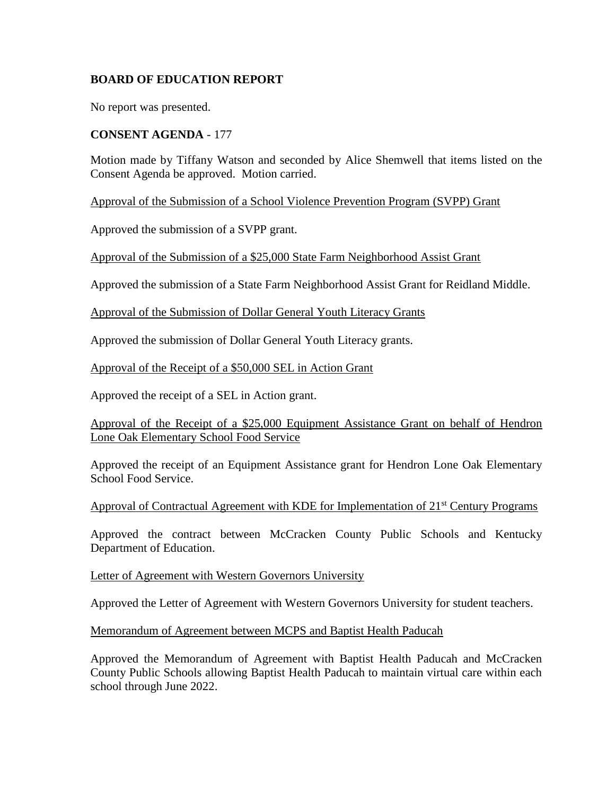# **BOARD OF EDUCATION REPORT**

No report was presented.

### **CONSENT AGENDA** - 177

Motion made by Tiffany Watson and seconded by Alice Shemwell that items listed on the Consent Agenda be approved. Motion carried.

Approval of the Submission of a School Violence Prevention Program (SVPP) Grant

Approved the submission of a SVPP grant.

Approval of the Submission of a \$25,000 State Farm Neighborhood Assist Grant

Approved the submission of a State Farm Neighborhood Assist Grant for Reidland Middle.

Approval of the Submission of Dollar General Youth Literacy Grants

Approved the submission of Dollar General Youth Literacy grants.

Approval of the Receipt of a \$50,000 SEL in Action Grant

Approved the receipt of a SEL in Action grant.

Approval of the Receipt of a \$25,000 Equipment Assistance Grant on behalf of Hendron Lone Oak Elementary School Food Service

Approved the receipt of an Equipment Assistance grant for Hendron Lone Oak Elementary School Food Service.

Approval of Contractual Agreement with KDE for Implementation of 21<sup>st</sup> Century Programs

Approved the contract between McCracken County Public Schools and Kentucky Department of Education.

Letter of Agreement with Western Governors University

Approved the Letter of Agreement with Western Governors University for student teachers.

Memorandum of Agreement between MCPS and Baptist Health Paducah

Approved the Memorandum of Agreement with Baptist Health Paducah and McCracken County Public Schools allowing Baptist Health Paducah to maintain virtual care within each school through June 2022.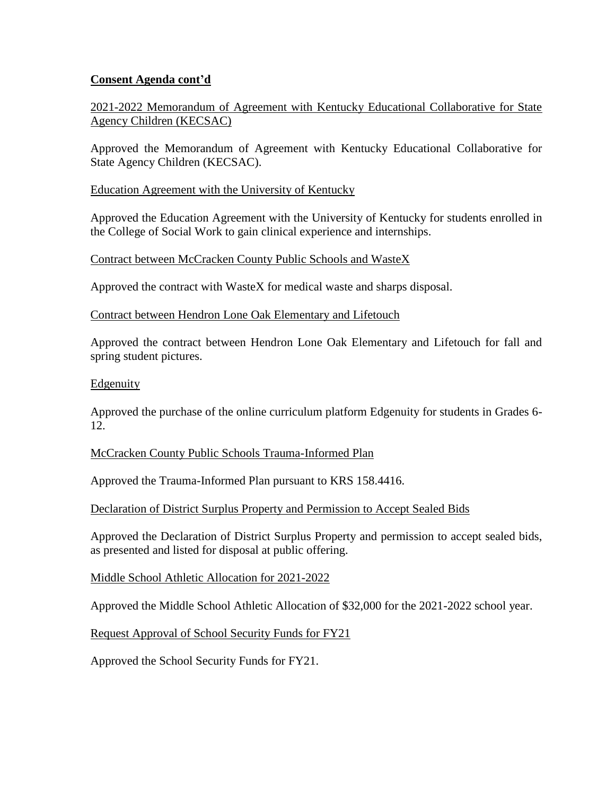2021-2022 Memorandum of Agreement with Kentucky Educational Collaborative for State Agency Children (KECSAC)

Approved the Memorandum of Agreement with Kentucky Educational Collaborative for State Agency Children (KECSAC).

Education Agreement with the University of Kentucky

Approved the Education Agreement with the University of Kentucky for students enrolled in the College of Social Work to gain clinical experience and internships.

Contract between McCracken County Public Schools and WasteX

Approved the contract with WasteX for medical waste and sharps disposal.

Contract between Hendron Lone Oak Elementary and Lifetouch

Approved the contract between Hendron Lone Oak Elementary and Lifetouch for fall and spring student pictures.

### Edgenuity

Approved the purchase of the online curriculum platform Edgenuity for students in Grades 6- 12.

### McCracken County Public Schools Trauma-Informed Plan

Approved the Trauma-Informed Plan pursuant to KRS 158.4416.

Declaration of District Surplus Property and Permission to Accept Sealed Bids

Approved the Declaration of District Surplus Property and permission to accept sealed bids, as presented and listed for disposal at public offering.

Middle School Athletic Allocation for 2021-2022

Approved the Middle School Athletic Allocation of \$32,000 for the 2021-2022 school year.

Request Approval of School Security Funds for FY21

Approved the School Security Funds for FY21.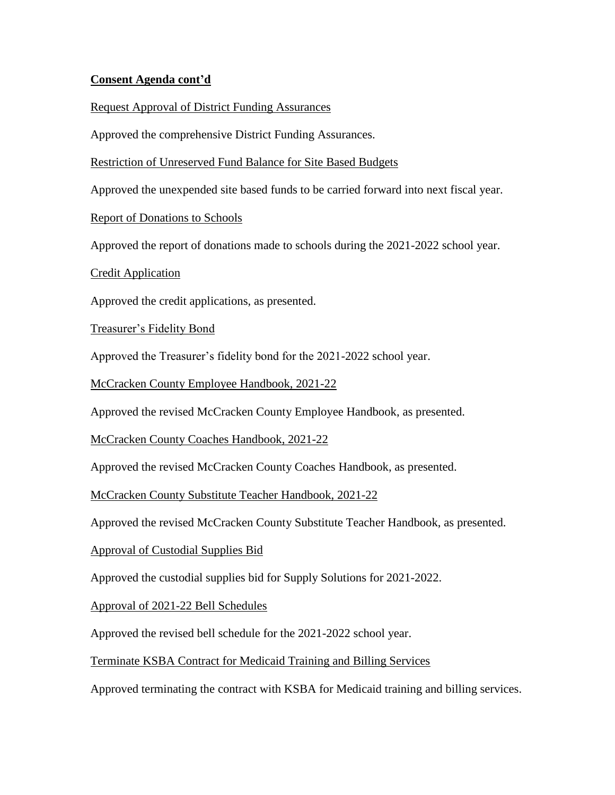Request Approval of District Funding Assurances

Approved the comprehensive District Funding Assurances.

Restriction of Unreserved Fund Balance for Site Based Budgets

Approved the unexpended site based funds to be carried forward into next fiscal year.

Report of Donations to Schools

Approved the report of donations made to schools during the 2021-2022 school year.

Credit Application

Approved the credit applications, as presented.

Treasurer's Fidelity Bond

Approved the Treasurer's fidelity bond for the 2021-2022 school year.

McCracken County Employee Handbook, 2021-22

Approved the revised McCracken County Employee Handbook, as presented.

McCracken County Coaches Handbook, 2021-22

Approved the revised McCracken County Coaches Handbook, as presented.

McCracken County Substitute Teacher Handbook, 2021-22

Approved the revised McCracken County Substitute Teacher Handbook, as presented.

Approval of Custodial Supplies Bid

Approved the custodial supplies bid for Supply Solutions for 2021-2022.

Approval of 2021-22 Bell Schedules

Approved the revised bell schedule for the 2021-2022 school year.

Terminate KSBA Contract for Medicaid Training and Billing Services

Approved terminating the contract with KSBA for Medicaid training and billing services.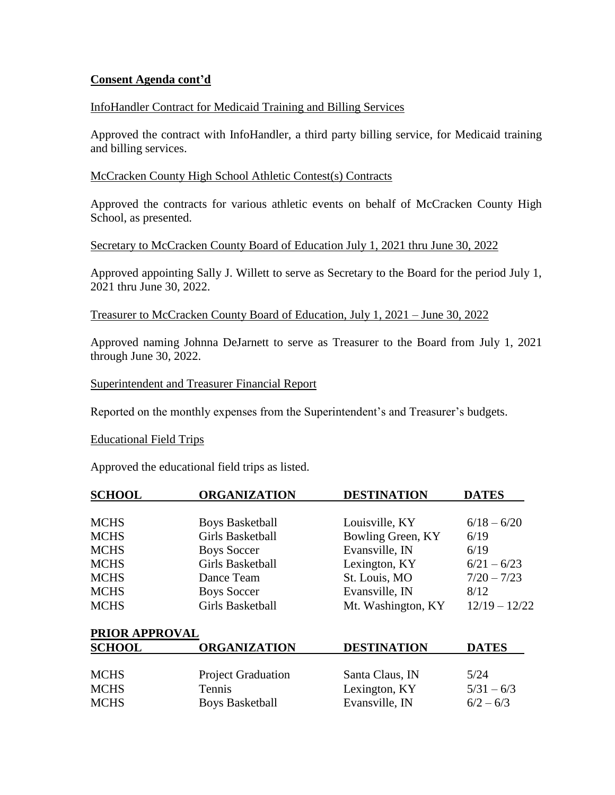### InfoHandler Contract for Medicaid Training and Billing Services

Approved the contract with InfoHandler, a third party billing service, for Medicaid training and billing services.

#### McCracken County High School Athletic Contest(s) Contracts

Approved the contracts for various athletic events on behalf of McCracken County High School, as presented.

### Secretary to McCracken County Board of Education July 1, 2021 thru June 30, 2022

Approved appointing Sally J. Willett to serve as Secretary to the Board for the period July 1, 2021 thru June 30, 2022.

#### Treasurer to McCracken County Board of Education, July 1, 2021 – June 30, 2022

Approved naming Johnna DeJarnett to serve as Treasurer to the Board from July 1, 2021 through June 30, 2022.

#### Superintendent and Treasurer Financial Report

Reported on the monthly expenses from the Superintendent's and Treasurer's budgets.

#### Educational Field Trips

Approved the educational field trips as listed.

| <b>SCHOOL</b>  | <b>ORGANIZATION</b>       | <b>DESTINATION</b> | <b>DATES</b>    |
|----------------|---------------------------|--------------------|-----------------|
| <b>MCHS</b>    | <b>Boys Basketball</b>    | Louisville, KY     | $6/18 - 6/20$   |
| <b>MCHS</b>    | <b>Girls Basketball</b>   | Bowling Green, KY  | 6/19            |
| <b>MCHS</b>    | <b>Boys Soccer</b>        | Evansville, IN     | 6/19            |
| <b>MCHS</b>    | <b>Girls Basketball</b>   | Lexington, KY      | $6/21 - 6/23$   |
| <b>MCHS</b>    | Dance Team                | St. Louis, MO      | $7/20 - 7/23$   |
| <b>MCHS</b>    | <b>Boys Soccer</b>        | Evansville, IN     | 8/12            |
| <b>MCHS</b>    | <b>Girls Basketball</b>   | Mt. Washington, KY | $12/19 - 12/22$ |
| PRIOR APPROVAL |                           |                    |                 |
| <b>SCHOOL</b>  | <b>ORGANIZATION</b>       | <b>DESTINATION</b> | <b>DATES</b>    |
| <b>MCHS</b>    | <b>Project Graduation</b> | Santa Claus, IN    | 5/24            |
| <b>MCHS</b>    | Tennis                    | Lexington, KY      | $5/31 - 6/3$    |
| <b>MCHS</b>    | <b>Boys Basketball</b>    | Evansville, IN     | $6/2 - 6/3$     |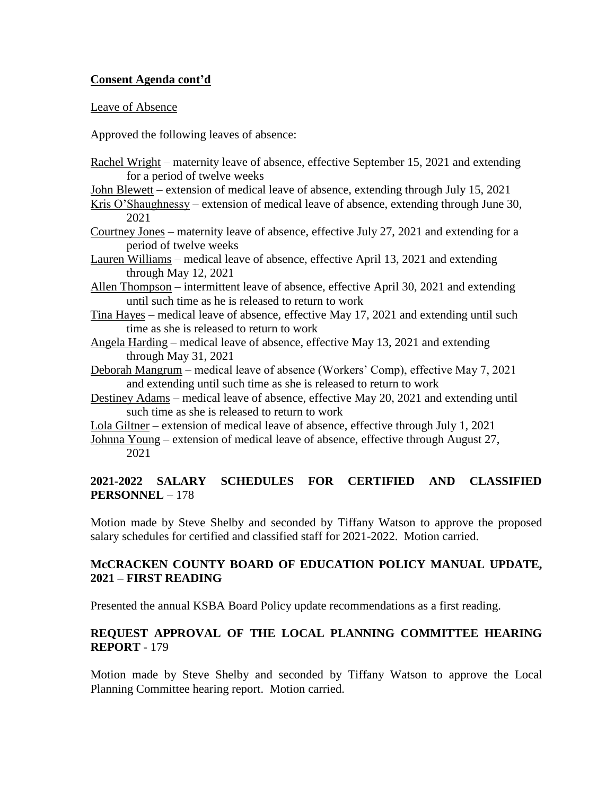#### Leave of Absence

Approved the following leaves of absence:

- Rachel Wright maternity leave of absence, effective September 15, 2021 and extending for a period of twelve weeks
- John Blewett extension of medical leave of absence, extending through July 15, 2021
- Kris O'Shaughnessy extension of medical leave of absence, extending through June 30, 2021
- Courtney Jones maternity leave of absence, effective July 27, 2021 and extending for a period of twelve weeks
- Lauren Williams medical leave of absence, effective April 13, 2021 and extending through May 12, 2021
- Allen Thompson intermittent leave of absence, effective April 30, 2021 and extending until such time as he is released to return to work
- Tina Hayes medical leave of absence, effective May 17, 2021 and extending until such time as she is released to return to work
- Angela Harding medical leave of absence, effective May 13, 2021 and extending through May 31, 2021
- Deborah Mangrum medical leave of absence (Workers' Comp), effective May 7, 2021 and extending until such time as she is released to return to work
- Destiney Adams medical leave of absence, effective May 20, 2021 and extending until such time as she is released to return to work
- Lola Giltner extension of medical leave of absence, effective through July 1, 2021
- Johnna Young extension of medical leave of absence, effective through August 27, 2021

# **2021-2022 SALARY SCHEDULES FOR CERTIFIED AND CLASSIFIED PERSONNEL** – 178

Motion made by Steve Shelby and seconded by Tiffany Watson to approve the proposed salary schedules for certified and classified staff for 2021-2022. Motion carried.

# **McCRACKEN COUNTY BOARD OF EDUCATION POLICY MANUAL UPDATE, 2021 – FIRST READING**

Presented the annual KSBA Board Policy update recommendations as a first reading.

# **REQUEST APPROVAL OF THE LOCAL PLANNING COMMITTEE HEARING REPORT** - 179

Motion made by Steve Shelby and seconded by Tiffany Watson to approve the Local Planning Committee hearing report. Motion carried.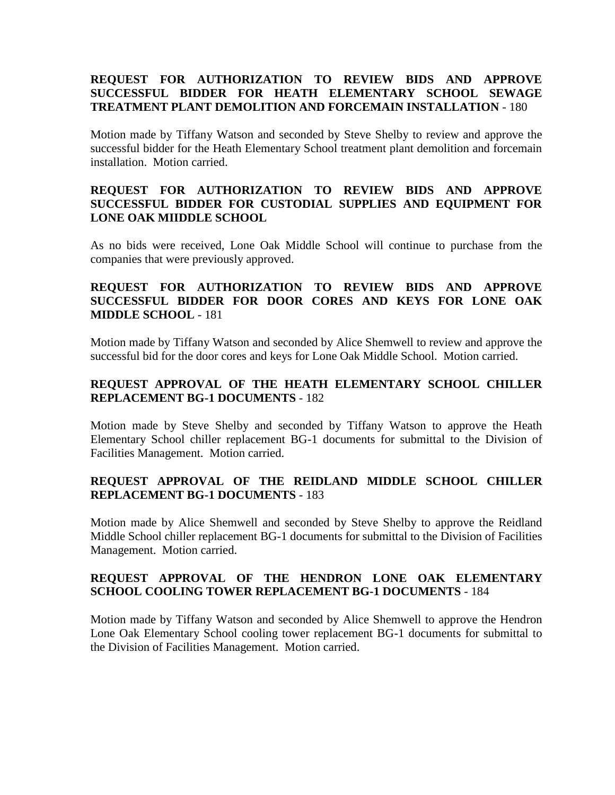# **REQUEST FOR AUTHORIZATION TO REVIEW BIDS AND APPROVE SUCCESSFUL BIDDER FOR HEATH ELEMENTARY SCHOOL SEWAGE TREATMENT PLANT DEMOLITION AND FORCEMAIN INSTALLATION** - 180

Motion made by Tiffany Watson and seconded by Steve Shelby to review and approve the successful bidder for the Heath Elementary School treatment plant demolition and forcemain installation. Motion carried.

# **REQUEST FOR AUTHORIZATION TO REVIEW BIDS AND APPROVE SUCCESSFUL BIDDER FOR CUSTODIAL SUPPLIES AND EQUIPMENT FOR LONE OAK MIIDDLE SCHOOL**

As no bids were received, Lone Oak Middle School will continue to purchase from the companies that were previously approved.

# **REQUEST FOR AUTHORIZATION TO REVIEW BIDS AND APPROVE SUCCESSFUL BIDDER FOR DOOR CORES AND KEYS FOR LONE OAK MIDDLE SCHOOL** - 181

Motion made by Tiffany Watson and seconded by Alice Shemwell to review and approve the successful bid for the door cores and keys for Lone Oak Middle School. Motion carried.

# **REQUEST APPROVAL OF THE HEATH ELEMENTARY SCHOOL CHILLER REPLACEMENT BG-1 DOCUMENTS** - 182

Motion made by Steve Shelby and seconded by Tiffany Watson to approve the Heath Elementary School chiller replacement BG-1 documents for submittal to the Division of Facilities Management. Motion carried.

# **REQUEST APPROVAL OF THE REIDLAND MIDDLE SCHOOL CHILLER REPLACEMENT BG-1 DOCUMENTS** - 183

Motion made by Alice Shemwell and seconded by Steve Shelby to approve the Reidland Middle School chiller replacement BG-1 documents for submittal to the Division of Facilities Management. Motion carried.

### **REQUEST APPROVAL OF THE HENDRON LONE OAK ELEMENTARY SCHOOL COOLING TOWER REPLACEMENT BG-1 DOCUMENTS** - 184

Motion made by Tiffany Watson and seconded by Alice Shemwell to approve the Hendron Lone Oak Elementary School cooling tower replacement BG-1 documents for submittal to the Division of Facilities Management. Motion carried.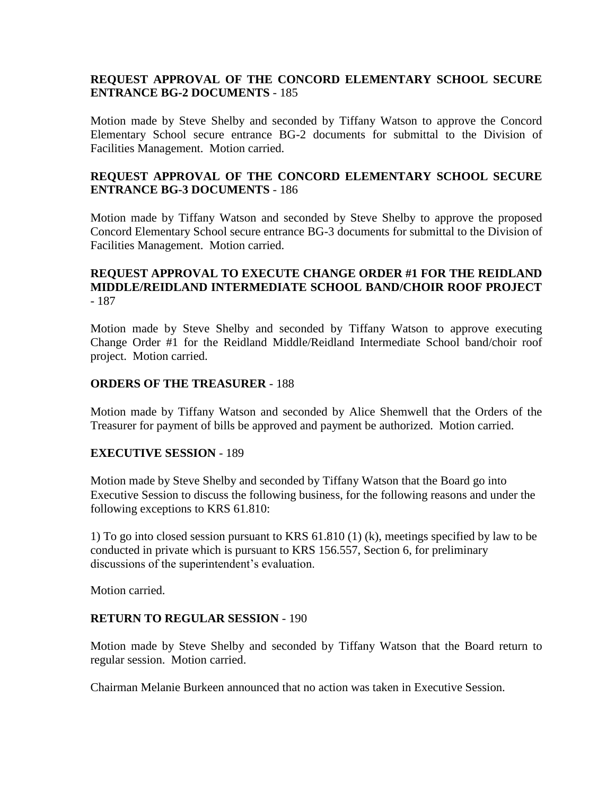## **REQUEST APPROVAL OF THE CONCORD ELEMENTARY SCHOOL SECURE ENTRANCE BG-2 DOCUMENTS** - 185

Motion made by Steve Shelby and seconded by Tiffany Watson to approve the Concord Elementary School secure entrance BG-2 documents for submittal to the Division of Facilities Management. Motion carried.

## **REQUEST APPROVAL OF THE CONCORD ELEMENTARY SCHOOL SECURE ENTRANCE BG-3 DOCUMENTS** - 186

Motion made by Tiffany Watson and seconded by Steve Shelby to approve the proposed Concord Elementary School secure entrance BG-3 documents for submittal to the Division of Facilities Management. Motion carried.

## **REQUEST APPROVAL TO EXECUTE CHANGE ORDER #1 FOR THE REIDLAND MIDDLE/REIDLAND INTERMEDIATE SCHOOL BAND/CHOIR ROOF PROJECT** - 187

Motion made by Steve Shelby and seconded by Tiffany Watson to approve executing Change Order #1 for the Reidland Middle/Reidland Intermediate School band/choir roof project. Motion carried.

### **ORDERS OF THE TREASURER** - 188

Motion made by Tiffany Watson and seconded by Alice Shemwell that the Orders of the Treasurer for payment of bills be approved and payment be authorized. Motion carried.

### **EXECUTIVE SESSION** - 189

Motion made by Steve Shelby and seconded by Tiffany Watson that the Board go into Executive Session to discuss the following business, for the following reasons and under the following exceptions to KRS 61.810:

1) To go into closed session pursuant to KRS 61.810 (1) (k), meetings specified by law to be conducted in private which is pursuant to KRS 156.557, Section 6, for preliminary discussions of the superintendent's evaluation.

Motion carried.

### **RETURN TO REGULAR SESSION** - 190

Motion made by Steve Shelby and seconded by Tiffany Watson that the Board return to regular session. Motion carried.

Chairman Melanie Burkeen announced that no action was taken in Executive Session.